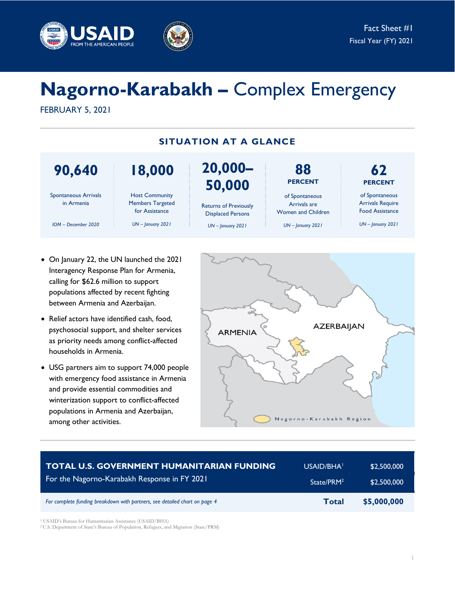



# **Nagorno-Karabakh –** Complex Emergency

FEBRUARY 5, 2021



- On January 22, the UN launched the 2021 Interagency Response Plan for Armenia, calling for \$62.6 million to support populations affected by recent fighting between Armenia and Azerbaijan.
- Relief actors have identified cash, food, psychosocial support, and shelter services as priority needs among conflict-affected households in Armenia.
- USG partners aim to support 74,000 people with emergency food assistance in Armenia and provide essential commodities and winterization support to conflict-affected populations in Armenia and Azerbaijan, among other activities.



| <b>TOTAL U.S. GOVERNMENT HUMANITARIAN FUNDING</b>                          | USAID/BHA <sup>1</sup> | \$2,500,000 |
|----------------------------------------------------------------------------|------------------------|-------------|
| For the Nagorno-Karabakh Response in FY 2021                               | State/PRM <sup>2</sup> | \$2,500,000 |
| For complete funding breakdown with partners, see detailed chart on page 4 | <b>Total</b>           | \$5,000,000 |

<sup>1</sup> USAID's Bureau for Humanitarian Assistance (USAID/BHA)

<sup>2</sup> U.S. Department of State's Bureau of Population, Refugees, and Migration (State/PRM)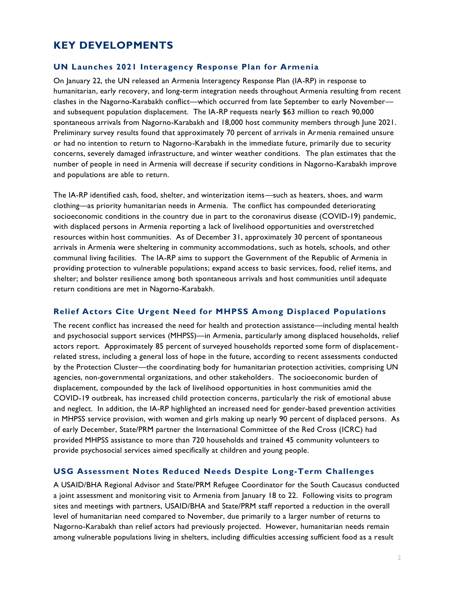# **KEY DEVELOPMENTS**

#### **UN Launches 2021 Interagency Response Plan for Armenia**

On January 22, the UN released an Armenia Interagency Response Plan (IA-RP) in response to humanitarian, early recovery, and long-term integration needs throughout Armenia resulting from recent clashes in the Nagorno-Karabakh conflict—which occurred from late September to early November and subsequent population displacement. The IA-RP requests nearly \$63 million to reach 90,000 spontaneous arrivals from Nagorno-Karabakh and 18,000 host community members through June 2021. Preliminary survey results found that approximately 70 percent of arrivals in Armenia remained unsure or had no intention to return to Nagorno-Karabakh in the immediate future, primarily due to security concerns, severely damaged infrastructure, and winter weather conditions. The plan estimates that the number of people in need in Armenia will decrease if security conditions in Nagorno-Karabakh improve and populations are able to return.

The IA-RP identified cash, food, shelter, and winterization items—such as heaters, shoes, and warm clothing—as priority humanitarian needs in Armenia. The conflict has compounded deteriorating socioeconomic conditions in the country due in part to the coronavirus disease (COVID-19) pandemic, with displaced persons in Armenia reporting a lack of livelihood opportunities and overstretched resources within host communities. As of December 31, approximately 30 percent of spontaneous arrivals in Armenia were sheltering in community accommodations, such as hotels, schools, and other communal living facilities. The IA-RP aims to support the Government of the Republic of Armenia in providing protection to vulnerable populations; expand access to basic services, food, relief items, and shelter; and bolster resilience among both spontaneous arrivals and host communities until adequate return conditions are met in Nagorno-Karabakh.

#### **Relief Actors Cite Urgent Need for MHPSS Among Displaced Populations**

The recent conflict has increased the need for health and protection assistance—including mental health and psychosocial support services (MHPSS)—in Armenia, particularly among displaced households, relief actors report. Approximately 85 percent of surveyed households reported some form of displacementrelated stress, including a general loss of hope in the future, according to recent assessments conducted by the Protection Cluster—the coordinating body for humanitarian protection activities, comprising UN agencies, non-governmental organizations, and other stakeholders. The socioeconomic burden of displacement, compounded by the lack of livelihood opportunities in host communities amid the COVID-19 outbreak, has increased child protection concerns, particularly the risk of emotional abuse and neglect. In addition, the IA-RP highlighted an increased need for gender-based prevention activities in MHPSS service provision, with women and girls making up nearly 90 percent of displaced persons. As of early December, State/PRM partner the International Committee of the Red Cross (ICRC) had provided MHPSS assistance to more than 720 households and trained 45 community volunteers to provide psychosocial services aimed specifically at children and young people.

#### **USG Assessment Notes Reduced Needs Despite Long-Term Challenges**

A USAID/BHA Regional Advisor and State/PRM Refugee Coordinator for the South Caucasus conducted a joint assessment and monitoring visit to Armenia from January 18 to 22. Following visits to program sites and meetings with partners, USAID/BHA and State/PRM staff reported a reduction in the overall level of humanitarian need compared to November, due primarily to a larger number of returns to Nagorno-Karabakh than relief actors had previously projected. However, humanitarian needs remain among vulnerable populations living in shelters, including difficulties accessing sufficient food as a result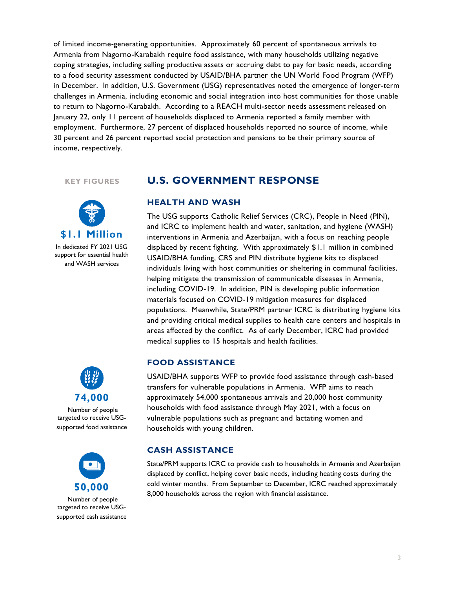of limited income-generating opportunities. Approximately 60 percent of spontaneous arrivals to Armenia from Nagorno-Karabakh require food assistance, with many households utilizing negative coping strategies, including selling productive assets or accruing debt to pay for basic needs, according to a food security assessment conducted by USAID/BHA partner the UN World Food Program (WFP) in December. In addition, U.S. Government (USG) representatives noted the emergence of longer-term challenges in Armenia, including economic and social integration into host communities for those unable to return to Nagorno-Karabakh. According to a REACH multi-sector needs assessment released on January 22, only 11 percent of households displaced to Armenia reported a family member with employment. Furthermore, 27 percent of displaced households reported no source of income, while 30 percent and 26 percent reported social protection and pensions to be their primary source of income, respectively.

**KEY FIGURES**



In dedicated FY 2021 USG support for essential health and WASH services

# **74,000**

Number of people targeted to receive USGsupported food assistance



Number of people targeted to receive USGsupported cash assistance

## **U.S. GOVERNMENT RESPONSE**

#### **HEALTH AND WASH**

The USG supports Catholic Relief Services (CRC), People in Need (PIN), and ICRC to implement health and water, sanitation, and hygiene (WASH) interventions in Armenia and Azerbaijan, with a focus on reaching people displaced by recent fighting. With approximately \$1.1 million in combined USAID/BHA funding, CRS and PIN distribute hygiene kits to displaced individuals living with host communities or sheltering in communal facilities, helping mitigate the transmission of communicable diseases in Armenia, including COVID-19. In addition, PIN is developing public information materials focused on COVID-19 mitigation measures for displaced populations. Meanwhile, State/PRM partner ICRC is distributing hygiene kits and providing critical medical supplies to health care centers and hospitals in areas affected by the conflict. As of early December, ICRC had provided medical supplies to 15 hospitals and health facilities.

#### **FOOD ASSISTANCE**

USAID/BHA supports WFP to provide food assistance through cash-based transfers for vulnerable populations in Armenia. WFP aims to reach approximately 54,000 spontaneous arrivals and 20,000 host community households with food assistance through May 2021, with a focus on vulnerable populations such as pregnant and lactating women and households with young children.

#### **CASH ASSISTANCE**

State/PRM supports ICRC to provide cash to households in Armenia and Azerbaijan displaced by conflict, helping cover basic needs, including heating costs during the cold winter months. From September to December, ICRC reached approximately 8,000 households across the region with financial assistance.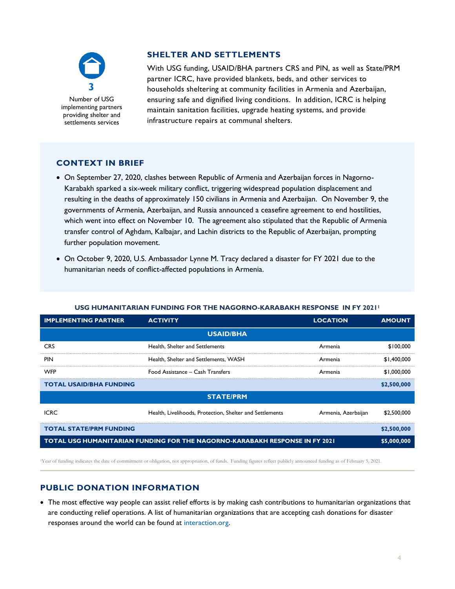

Number of USG implementing partners providing shelter and settlements services

#### **SHELTER AND SETTLEMENTS**

With USG funding, USAID/BHA partners CRS and PIN, as well as State/PRM partner ICRC, have provided blankets, beds, and other services to households sheltering at community facilities in Armenia and Azerbaijan, ensuring safe and dignified living conditions. In addition, ICRC is helping maintain sanitation facilities, upgrade heating systems, and provide infrastructure repairs at communal shelters.

### **CONTEXT IN BRIEF**

- On September 27, 2020, clashes between Republic of Armenia and Azerbaijan forces in Nagorno-Karabakh sparked a six-week military conflict, triggering widespread population displacement and resulting in the deaths of approximately 150 civilians in Armenia and Azerbaijan. On November 9, the governments of Armenia, Azerbaijan, and Russia announced a ceasefire agreement to end hostilities, which went into effect on November 10. The agreement also stipulated that the Republic of Armenia transfer control of Aghdam, Kalbajar, and Lachin districts to the Republic of Azerbaijan, prompting further population movement.
- On October 9, 2020, U.S. Ambassador Lynne M. Tracy declared a disaster for FY 2021 due to the humanitarian needs of conflict-affected populations in Armenia.

#### **USG HUMANITARIAN FUNDING FOR THE NAGORNO-KARABAKH RESPONSE IN FY 2021<sup>1</sup>**

| <b>IMPLEMENTING PARTNER</b>                                                        | <b>ACTIVITY</b>                                          | <b>LOCATION</b>     | <b>AMOUNT</b> |  |
|------------------------------------------------------------------------------------|----------------------------------------------------------|---------------------|---------------|--|
| <b>USAID/BHA</b>                                                                   |                                                          |                     |               |  |
| <b>CRS</b>                                                                         | Health, Shelter and Settlements                          | Armenia             | \$100,000     |  |
| <b>PIN</b>                                                                         | Health, Shelter and Settlements, WASH                    | Armenia             | \$1,400,000   |  |
| <b>WFP</b>                                                                         | Food Assistance - Cash Transfers                         | Armenia             | \$1,000,000   |  |
| <b>TOTAL USAID/BHA FUNDING</b>                                                     |                                                          |                     | \$2,500,000   |  |
| <b>STATE/PRM</b>                                                                   |                                                          |                     |               |  |
| <b>ICRC</b>                                                                        | Health, Livelihoods, Protection, Shelter and Settlements | Armenia, Azerbaijan | \$2,500,000   |  |
| <b>TOTAL STATE/PRM FUNDING</b>                                                     |                                                          |                     | \$2,500,000   |  |
| <b>TOTAL USG HUMANITARIAN FUNDING FOR THE NAGORNO-KARABAKH RESPONSE IN FY 2021</b> |                                                          |                     | \$5,000,000   |  |

<sup>1</sup>Year of funding indicates the date of commitment or obligation, not appropriation, of funds. Funding figures reflect publicly announced funding as of February 5, 2021.

#### **PUBLIC DONATION INFORMATION**

 The most effective way people can assist relief efforts is by making cash contributions to humanitarian organizations that are conducting relief operations. A list of humanitarian organizations that are accepting cash donations for disaster responses around the world can be found at [interaction.org.](https://www.interaction.org/)